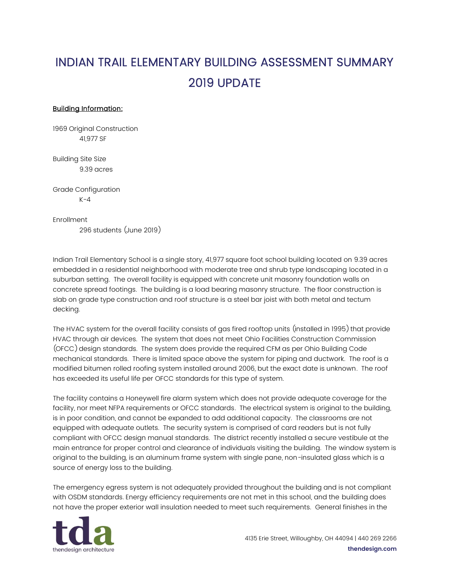## INDIAN TRAIL ELEMENTARY BUILDING ASSESSMENT SUMMARY 2019 UPDATE

## Building Information:

1969 Original Construction 41,977 SF

Building Site Size 9.39 acres

Grade Configuration  $K - 4$ 

Enrollment

296 students (June 2019)

Indian Trail Elementary School is a single story, 41,977 square foot school building located on 9.39 acres embedded in a residential neighborhood with moderate tree and shrub type landscaping located in a suburban setting. The overall facility is equipped with concrete unit masonry foundation walls on concrete spread footings. The building is a load bearing masonry structure. The floor construction is slab on grade type construction and roof structure is a steel bar joist with both metal and tectum decking.

The HVAC system for the overall facility consists of gas fired rooftop units (installed in 1995) that provide HVAC through air devices. The system that does not meet Ohio Facilities Construction Commission (OFCC) design standards. The system does provide the required CFM as per Ohio Building Code mechanical standards. There is limited space above the system for piping and ductwork. The roof is a modified bitumen rolled roofing system installed around 2006, but the exact date is unknown. The roof has exceeded its useful life per OFCC standards for this type of system.

The facility contains a Honeywell fire alarm system which does not provide adequate coverage for the facility, nor meet NFPA requirements or OFCC standards. The electrical system is original to the building, is in poor condition, and cannot be expanded to add additional capacity. The classrooms are not equipped with adequate outlets. The security system is comprised of card readers but is not fully compliant with OFCC design manual standards. The district recently installed a secure vestibule at the main entrance for proper control and clearance of individuals visiting the building. The window system is original to the building, is an aluminum frame system with single pane, non-insulated glass which is a source of energy loss to the building.

The emergency egress system is not adequately provided throughout the building and is not compliant with OSDM standards. Energy efficiency requirements are not met in this school, and the building does not have the proper exterior wall insulation needed to meet such requirements. General finishes in the